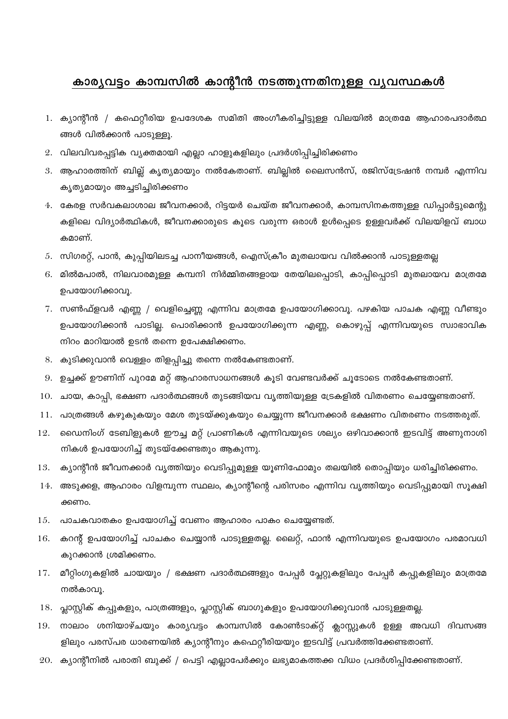## കാര്യവട്ടം കാമ്പസിൽ കാന്റീൻ നടത്തുന്നതിനുള്ള വൃവസ്ഥകൾ

- 1. ക്യാന്റീൻ / കഫെറ്റീരിയ ഉപദേശക സമിതി അംഗീകരിച്ചിട്ടുള്ള വിലയിൽ മാത്രമേ ആഹാരപദാർത്ഥ ങ്ങൾ വിൽക്കാൻ പാടുള്ളൂ.
- 2. വിലവിവരപ്പട്ടിക വ്യക്തമായി എല്ലാ ഹാളുകളിലും പ്രദർശിപ്പിച്ചിരിക്കണം
- 3. ആഹാരത്തിന് ബില്ല് കൃത്യമായും നൽകേതാണ്. ബില്ലിൽ ലൈസൻസ്, രജിസ്ട്രേഷൻ നമ്പർ എന്നിവ കൃത്യമായും അച്ചടിച്ചിരിക്കണം
- 4. കേരള സർവകലാശാല ജീവനക്കാർ, റിട്ടയർ ചെയ്ത ജീവനക്കാർ, കാമ്പസിനകത്തുള്ള ഡിപ്പാർട്ടുമെന്റു കളിലെ വിദ്യാർത്ഥികൾ, ജീവനക്കാരുടെ കൂടെ വരുന്ന ഒരാൾ ഉൾപ്പെടെ ഉള്ളവർക്ക് വിലയിളവ് ബാധ കമാണ്.
- 5. സിഗരറ്റ്, പാൻ, കുപ്പിയിലടച്ച പാനീയങ്ങൾ, ഐസ്ക്രീം മുതലായവ വിൽക്കാൻ പാടുള്ളതല്ല
- മിൽമപാൽ, നിലവാരമുള്ള കമ്പനി നിർമ്മിതങ്ങളായ തേയിലപ്പൊടി, കാപ്പിപ്പൊടി മുതലായവ മാത്രമേ 6. ഉപയോഗിക്കാവൂ.
- 7. സൺഫ്ളവർ എണ്ണ / വെളിച്ചെണ്ണ എന്നിവ മാത്രമേ ഉപയോഗിക്കാവൂ. പഴകിയ പാചക എണ്ണ വീണ്ടും ഉപയോഗിക്കാൻ പാടില്ല. പൊരിക്കാൻ ഉപയോഗിക്കുന്ന എണ്ണ, കൊഴുപ്പ് എന്നിവയുടെ സ്വാഭാവിക നിറം മാറിയാൽ ഉടൻ തന്നെ ഉപേക്ഷിക്കണം.
- കുടിക്കുവാൻ വെള്ളം തിളപ്പിച്ചു തന്നെ നൽകേണ്ടതാണ്.
- ഉച്ചക്ക് ഊണിന് പുറമേ മറ്റ് ആഹാരസാധനങ്ങൾ കൂടി വേണ്ടവർക്ക് ചൂടോടെ നൽകേണ്ടതാണ്.
- 10. ചായ, കാപ്പി, ഭക്ഷണ പദാർത്ഥങ്ങൾ തുടങ്ങിയവ വൃത്തിയുള്ള ട്രേകളിൽ വിതരണം ചെയ്യേണ്ടതാണ്.
- പാത്രങ്ങൾ കഴുകുകയും മേശ തൂടയ്ക്കുകയും ചെയ്യുന്ന ജീവനക്കാർ ഭക്ഷണം വിതരണം നടത്തരുത്. 11.
- ഡൈനിംഗ് ടേബിളുകൾ ഈച്ച മറ്റ് പ്രാണികൾ എന്നിവയുടെ ശല്യം ഒഴിവാക്കാൻ ഇടവിട്ട് അണുനാശി 12. നികൾ ഉപയോഗിച്ച് തുടയ്ക്കേണ്ടതും ആകുന്നു.
- ക്യാന്റീൻ ജീവനക്കാർ വൃത്തിയും വെടിപ്പുമുള്ള യൂണിഫോമും തലയിൽ തൊപ്പിയും ധരിച്ചിരിക്കണം. 13.
- അടുക്കള, ആഹാരം വിളമ്പുന്ന സ്ഥലം, ക്യാന്റീന്റെ പരിസരം എന്നിവ വൃത്തിയും വെടിപ്പുമായി സൂക്ഷി 14. ക്കണം.
- 15. പാചകവാതകം ഉപയോഗിച്ച് വേണം ആഹാരം പാകം ചെയ്യേണ്ടത്.
- കറന്റ് ഉപയോഗിച്ച് പാചകം ചെയ്യാൻ പാടുള്ളതല്ല. ലൈറ്റ്, ഫാൻ എന്നിവയുടെ ഉപയോഗം പരമാവധി 16. കുറക്കാൻ ശ്രമിക്കണം.
- 17. മീറ്റിംഗുകളിൽ ചായയും / ഭക്ഷണ പദാർത്ഥങ്ങളും പേപ്പർ പ്ലേറ്റുകളിലും പേപ്പർ കപ്പുകളിലും മാത്രമേ നൽകാവു.
- പ്ലാസ്റ്റിക് കപ്പുകളും, പാത്രങ്ങളും, പ്ലാസ്റ്റിക് ബാഗുകളും ഉപയോഗിക്കുവാൻ പാടുള്ളതല്ല. 18.
- നാലാം ശനിയാഴ്ചയും കാര്യവട്ടം കാമ്പസിൽ കോൺടാക്റ്റ് ക്ലാസ്സുകൾ ഉള്ള അവധി ദിവസങ്ങ 19. ളിലും പരസ്പര ധാരണയിൽ ക്യാന്റീനും കഫെറ്റീരിയയും ഇടവിട്ട് പ്രവർത്തിക്കേണ്ടതാണ്.
- 20. ക്യാന്റീനിൽ പരാതി ബുക്ക് / പെട്ടി എല്ലാപേർക്കും ലഭ്യമാകത്തക്ക വിധം പ്രദർശിപ്പിക്കേണ്ടതാണ്.